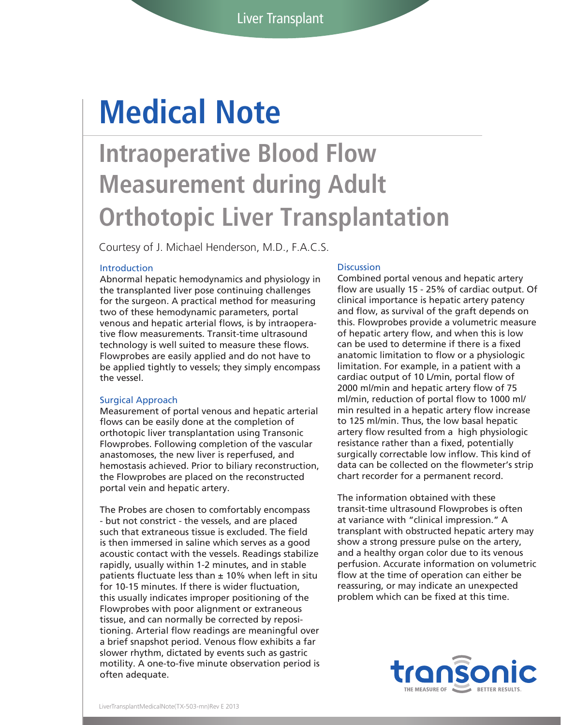# **Medical Note**

## **Intraoperative Blood Flow Measurement during Adult Orthotopic Liver Transplantation**

Courtesy of J. Michael Henderson, M.D., F.A.C.S.

### Introduction

Abnormal hepatic hemodynamics and physiology in the transplanted liver pose continuing challenges for the surgeon. A practical method for measuring two of these hemodynamic parameters, portal venous and hepatic arterial flows, is by intraoperative flow measurements. Transit-time ultrasound technology is well suited to measure these flows. Flowprobes are easily applied and do not have to be applied tightly to vessels; they simply encompass the vessel.

### Surgical Approach

Measurement of portal venous and hepatic arterial flows can be easily done at the completion of orthotopic liver transplantation using Transonic Flowprobes. Following completion of the vascular anastomoses, the new liver is reperfused, and hemostasis achieved. Prior to biliary reconstruction, the Flowprobes are placed on the reconstructed portal vein and hepatic artery.

The Probes are chosen to comfortably encompass - but not constrict - the vessels, and are placed such that extraneous tissue is excluded. The field is then immersed in saline which serves as a good acoustic contact with the vessels. Readings stabilize rapidly, usually within 1-2 minutes, and in stable patients fluctuate less than  $\pm$  10% when left in situ for 10-15 minutes. If there is wider fluctuation, this usually indicates improper positioning of the Flowprobes with poor alignment or extraneous tissue, and can normally be corrected by repositioning. Arterial flow readings are meaningful over a brief snapshot period. Venous flow exhibits a far slower rhythm, dictated by events such as gastric motility. A one-to-five minute observation period is often adequate.

#### **Discussion**

Combined portal venous and hepatic artery flow are usually 15 - 25% of cardiac output. Of clinical importance is hepatic artery patency and flow, as survival of the graft depends on this. Flowprobes provide a volumetric measure of hepatic artery flow, and when this is low can be used to determine if there is a fixed anatomic limitation to flow or a physiologic limitation. For example, in a patient with a cardiac output of 10 L/min, portal flow of 2000 ml/min and hepatic artery flow of 75 ml/min, reduction of portal flow to 1000 ml/ min resulted in a hepatic artery flow increase to 125 ml/min. Thus, the low basal hepatic artery flow resulted from a high physiologic resistance rather than a fixed, potentially surgically correctable low inflow. This kind of data can be collected on the flowmeter's strip chart recorder for a permanent record.

The information obtained with these transit-time ultrasound Flowprobes is often at variance with "clinical impression." A transplant with obstructed hepatic artery may show a strong pressure pulse on the artery, and a healthy organ color due to its venous perfusion. Accurate information on volumetric flow at the time of operation can either be reassuring, or may indicate an unexpected problem which can be fixed at this time.

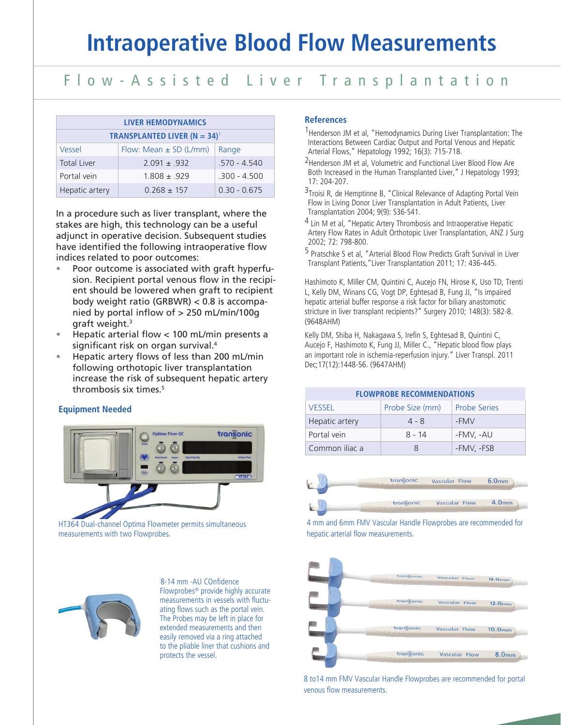### Flow-Assisted Liver Transplantation

| <b>LIVER HEMODYNAMICS</b>                      |                            |                |  |
|------------------------------------------------|----------------------------|----------------|--|
| <b>TRANSPLANTED LIVER (N = 34)<sup>1</sup></b> |                            |                |  |
| Vessel                                         | Flow: Mean $\pm$ SD (L/mm) | Range          |  |
| <b>Total Liver</b>                             | $2091 + 932$               | 570 - 4540     |  |
| Portal vein                                    | $1808 + 929$               | $.300 - 4.500$ |  |
| Hepatic artery                                 | $0.268 + 157$              | $0.30 - 0.675$ |  |

In a procedure such as liver transplant, where the stakes are high, this technology can be a useful adjunct in operative decision. Subsequent studies have identified the following intraoperative flow indices related to poor outcomes:

- Poor outcome is associated with graft hyperfusion. Recipient portal venous flow in the recipient should be lowered when graft to recipient body weight ratio (GRBWR) < 0.8 is accompanied by portal inflow of > 250 mL/min/100g araft weight. $3$
- Hepatic arterial flow < 100 mL/min presents a significant risk on organ survival.4
- Hepatic artery flows of less than 200 mL/min following orthotopic liver transplantation increase the risk of subsequent hepatic artery thrombosis six times.5

### **Equipment Needed**



HT364 Dual-channel Optima Flowmeter permits simultaneous measurements with two Flowprobes.



 8-14 mm -AU COnfidence Flowprobes® provide highly accurate measurements in vessels with fluctuating flows such as the portal vein. The Probes may be left in place for extended measurements and then easily removed via a ring attached to the pliable liner that cushions and protects the vessel.

### **References**

- <sup>1</sup> Henderson JM et al, "Hemodynamics During Liver Transplantation: The Interactions Between Cardiac Output and Portal Venous and Hepatic Arterial Flows," Hepatology 1992; 16(3): 715-718.
- 2Henderson JM et al, Volumetric and Functional Liver Blood Flow Are Both Increased in the Human Transplanted Liver," J Hepatology 1993; 17: 204-207.
- 3Troisi R, de Hemptinne B, "Clinical Relevance of Adapting Portal Vein Flow in Living Donor Liver Transplantation in Adult Patients, Liver Transplantation 2004; 9(9): S36-S41.
- 4 Lin M et al, "Hepatic Artery Thrombosis and Intraoperative Hepatic Artery Flow Rates in Adult Orthotopic Liver Transplantation, ANZ J Surg 2002; 72: 798-800.
- 5 Pratschke S et al, "Arterial Blood Flow Predicts Graft Survival in Liver Transplant Patients,"Liver Transplantation 2011; 17: 436-445.

Hashimoto K, Miller CM, Quintini C, Aucejo FN, Hirose K, Uso TD, Trenti L, Kelly DM, Winans CG, Vogt DP, Eghtesad B, Fung JJ, "Is impaired hepatic arterial buffer response a risk factor for biliary anastomotic stricture in liver transplant recipients?" Surgery 2010; 148(3): 582-8. (9648AHM)

Kelly DM, Shiba H, Nakagawa S, Irefin S, Eghtesad B, Quintini C, Aucejo F, Hashimoto K, Fung JJ, Miller C., "Hepatic blood flow plays an important role in ischemia-reperfusion injury." Liver Transpl. 2011 Dec;17(12):1448-56. (9647AHM)

| <b>FLOWPROBE RECOMMENDATIONS</b> |                 |                     |  |
|----------------------------------|-----------------|---------------------|--|
| <b>VESSEL</b>                    | Probe Size (mm) | <b>Probe Series</b> |  |
| Hepatic artery                   | 4 - 8           | -FMV                |  |
| Portal vein                      | 8 - 14          | -FMV, -AU           |  |
| Common iliac a                   | R               | -FMV, -FSB          |  |



### 4 mm and 6mm FMV Vascular Handle Flowprobes are recommended for hepatic arterial flow measurements.



8 to14 mm FMV Vascular Handle Flowprobes are recommended for portal venous flow measurements.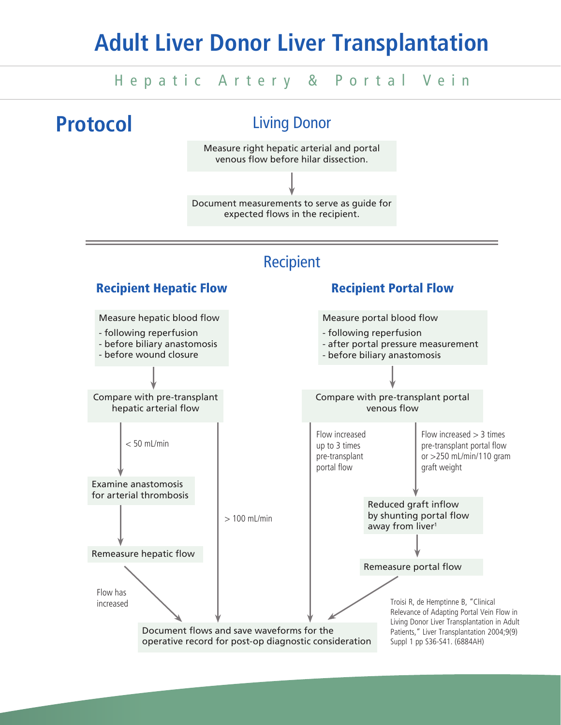## **Adult Liver Donor Liver Transplantation**

### Hepatic Artery & Portal Vein

**Protocol**

### Living Donor

Measure right hepatic arterial and portal venous flow before hilar dissection.

Document measurements to serve as guide for expected flows in the recipient.

### Recipient

### Measure portal blood flow - following reperfusion - after portal pressure measurement - before biliary anastomosis Compare with pre-transplant portal venous flow Reduced graft inflow by shunting portal flow away from liver<sup>1</sup> Remeasure portal flow Document flows and save waveforms for the Recipient Hepatic Flow Recipient Portal Flow Remeasure hepatic flow Compare with pre-transplant hepatic arterial flow Measure hepatic blood flow - following reperfusion - before biliary anastomosis - before wound closure Flow increased  $> 3$  times pre-transplant portal flow or >250 mL/min/110 gram graft weight Flow increased up to 3 times pre-transplant portal flow > 100 mL/min  $< 50$  mL/min Examine anastomosis for arterial thrombosis Flow has increased Troisi R, de Hemptinne B, "Clinical

operative record for post-op diagnostic consideration

Relevance of Adapting Portal Vein Flow in Living Donor Liver Transplantation in Adult Patients," Liver Transplantation 2004;9(9) Suppl 1 pp S36-S41. (6884AH)